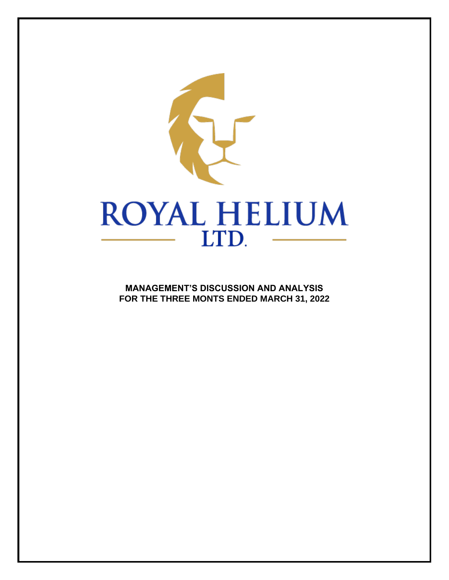

**MANAGEMENT'S DISCUSSION AND ANALYSIS FOR THE THREE MONTS ENDED MARCH 31, 2022**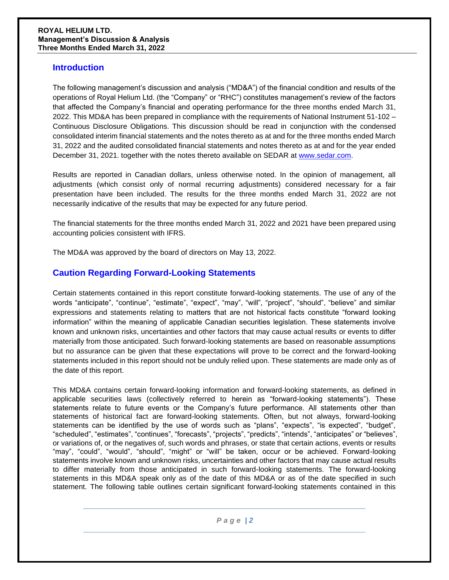### **Introduction**

The following management's discussion and analysis ("MD&A") of the financial condition and results of the operations of Royal Helium Ltd. (the "Company" or "RHC") constitutes management's review of the factors that affected the Company's financial and operating performance for the three months ended March 31, 2022. This MD&A has been prepared in compliance with the requirements of National Instrument 51-102 – Continuous Disclosure Obligations. This discussion should be read in conjunction with the condensed consolidated interim financial statements and the notes thereto as at and for the three months ended March 31, 2022 and the audited consolidated financial statements and notes thereto as at and for the year ended December 31, 2021. together with the notes thereto available on SEDAR at [www.sedar.com.](http://www.sedar.com/)

Results are reported in Canadian dollars, unless otherwise noted. In the opinion of management, all adjustments (which consist only of normal recurring adjustments) considered necessary for a fair presentation have been included. The results for the three months ended March 31, 2022 are not necessarily indicative of the results that may be expected for any future period.

The financial statements for the three months ended March 31, 2022 and 2021 have been prepared using accounting policies consistent with IFRS.

The MD&A was approved by the board of directors on May 13, 2022.

# **Caution Regarding Forward-Looking Statements**

Certain statements contained in this report constitute forward-looking statements. The use of any of the words "anticipate", "continue", "estimate", "expect", "may", "will", "project", "should", "believe" and similar expressions and statements relating to matters that are not historical facts constitute "forward looking information" within the meaning of applicable Canadian securities legislation. These statements involve known and unknown risks, uncertainties and other factors that may cause actual results or events to differ materially from those anticipated. Such forward-looking statements are based on reasonable assumptions but no assurance can be given that these expectations will prove to be correct and the forward-looking statements included in this report should not be unduly relied upon. These statements are made only as of the date of this report.

This MD&A contains certain forward-looking information and forward-looking statements, as defined in applicable securities laws (collectively referred to herein as "forward-looking statements"). These statements relate to future events or the Company's future performance. All statements other than statements of historical fact are forward-looking statements. Often, but not always, forward-looking statements can be identified by the use of words such as "plans", "expects", "is expected", "budget", "scheduled", "estimates", "continues", "forecasts", "projects", "predicts", "intends", "anticipates" or "believes", or variations of, or the negatives of, such words and phrases, or state that certain actions, events or results "may", "could", "would", "should", "might" or "will" be taken, occur or be achieved. Forward-looking statements involve known and unknown risks, uncertainties and other factors that may cause actual results to differ materially from those anticipated in such forward-looking statements. The forward-looking statements in this MD&A speak only as of the date of this MD&A or as of the date specified in such statement. The following table outlines certain significant forward-looking statements contained in this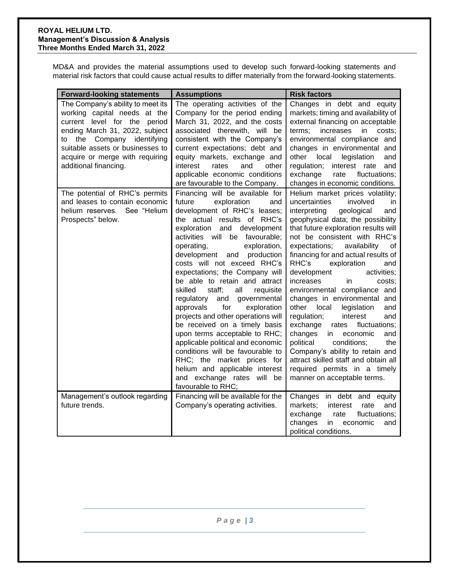MD&A and provides the material assumptions used to develop such forward-looking statements and material risk factors that could cause actual results to differ materially from the forward-looking statements.

| <b>Forward-looking statements</b>                                                                                                                                                                                                                                 | <b>Assumptions</b>                                                                                                                                                                                                                                                                                                                                                                                                                                                                                                                                                                                                                                                                                                                                                            | <b>Risk factors</b>                                                                                                                                                                                                                                                                                                                                                                                                                                                                                                                                                                                                                                                                                                                                                                          |  |  |  |  |  |
|-------------------------------------------------------------------------------------------------------------------------------------------------------------------------------------------------------------------------------------------------------------------|-------------------------------------------------------------------------------------------------------------------------------------------------------------------------------------------------------------------------------------------------------------------------------------------------------------------------------------------------------------------------------------------------------------------------------------------------------------------------------------------------------------------------------------------------------------------------------------------------------------------------------------------------------------------------------------------------------------------------------------------------------------------------------|----------------------------------------------------------------------------------------------------------------------------------------------------------------------------------------------------------------------------------------------------------------------------------------------------------------------------------------------------------------------------------------------------------------------------------------------------------------------------------------------------------------------------------------------------------------------------------------------------------------------------------------------------------------------------------------------------------------------------------------------------------------------------------------------|--|--|--|--|--|
| The Company's ability to meet its<br>working capital needs at the<br>current level for the period<br>ending March 31, 2022, subject<br>to the Company identifying<br>suitable assets or businesses to<br>acquire or merge with requiring<br>additional financing. | The operating activities of the<br>Company for the period ending<br>March 31, 2022, and the costs<br>associated therewith, will be<br>consistent with the Company's<br>current expectations; debt and<br>equity markets, exchange and<br>interest<br>rates<br>and<br>other<br>applicable economic conditions<br>are favourable to the Company.                                                                                                                                                                                                                                                                                                                                                                                                                                | Changes in debt and equity<br>markets; timing and availability of<br>external financing on acceptable<br>terms;<br>increases<br>in<br>costs;<br>environmental compliance and<br>changes in environmental and<br>other local<br>legislation<br>and<br>regulation; interest rate and<br>exchange<br>fluctuations;<br>rate<br>changes in economic conditions.                                                                                                                                                                                                                                                                                                                                                                                                                                   |  |  |  |  |  |
| The potential of RHC's permits<br>and leases to contain economic<br>helium reserves. See "Helium<br>Prospects" below.                                                                                                                                             | Financing will be available for<br>future<br>exploration<br>and<br>development of RHC's leases;<br>the actual results of RHC's<br>exploration and development<br>activities will be favourable;<br>operating,<br>exploration,<br>development and production<br>costs will not exceed RHC's<br>expectations; the Company will<br>be able to retain and attract<br>skilled<br>staff;<br>all<br>requisite<br>regulatory and governmental<br>for<br>exploration<br>approvals<br>projects and other operations will<br>be received on a timely basis<br>upon terms acceptable to RHC;<br>applicable political and economic<br>conditions will be favourable to<br>RHC; the market prices for<br>helium and applicable interest<br>and exchange rates will be<br>favourable to RHC; | Helium market prices volatility;<br>uncertainties<br>involved<br>in<br>interpreting<br>geological<br>and<br>geophysical data; the possibility<br>that future exploration results will<br>not be consistent with RHC's<br>expectations;<br>availability<br>of<br>financing for and actual results of<br>RHC's<br>exploration<br>and<br>development<br>activities;<br>increases<br>costs;<br>in.<br>environmental compliance and<br>changes in environmental and<br>other local<br>legislation<br>and<br>regulation;<br>interest<br>and<br>exchange<br>fluctuations;<br>rates<br>changes<br>in<br>economic<br>and<br>political<br>conditions;<br>the<br>Company's ability to retain and<br>attract skilled staff and obtain all<br>required permits in a timely<br>manner on acceptable terms. |  |  |  |  |  |
| Management's outlook regarding                                                                                                                                                                                                                                    | Financing will be available for the                                                                                                                                                                                                                                                                                                                                                                                                                                                                                                                                                                                                                                                                                                                                           | Changes in debt and equity                                                                                                                                                                                                                                                                                                                                                                                                                                                                                                                                                                                                                                                                                                                                                                   |  |  |  |  |  |
| future trends.                                                                                                                                                                                                                                                    | Company's operating activities.                                                                                                                                                                                                                                                                                                                                                                                                                                                                                                                                                                                                                                                                                                                                               | markets;<br>interest<br>rate<br>and<br>exchange<br>rate<br>fluctuations;<br>changes<br>in<br>economic<br>and<br>political conditions.                                                                                                                                                                                                                                                                                                                                                                                                                                                                                                                                                                                                                                                        |  |  |  |  |  |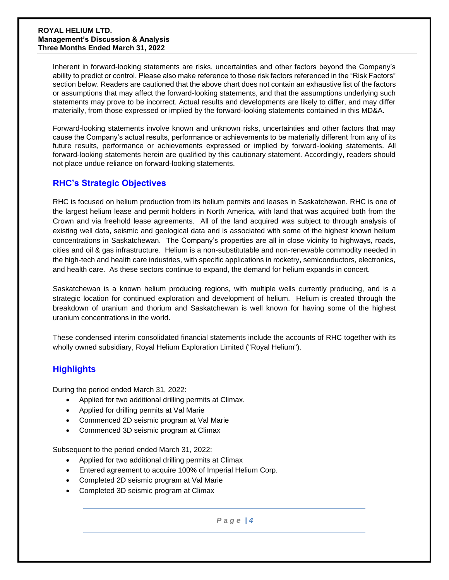Inherent in forward-looking statements are risks, uncertainties and other factors beyond the Company's ability to predict or control. Please also make reference to those risk factors referenced in the "Risk Factors" section below. Readers are cautioned that the above chart does not contain an exhaustive list of the factors or assumptions that may affect the forward-looking statements, and that the assumptions underlying such statements may prove to be incorrect. Actual results and developments are likely to differ, and may differ materially, from those expressed or implied by the forward-looking statements contained in this MD&A.

Forward-looking statements involve known and unknown risks, uncertainties and other factors that may cause the Company's actual results, performance or achievements to be materially different from any of its future results, performance or achievements expressed or implied by forward-looking statements. All forward-looking statements herein are qualified by this cautionary statement. Accordingly, readers should not place undue reliance on forward-looking statements.

# **RHC's Strategic Objectives**

RHC is focused on helium production from its helium permits and leases in Saskatchewan. RHC is one of the largest helium lease and permit holders in North America, with land that was acquired both from the Crown and via freehold lease agreements. All of the land acquired was subject to through analysis of existing well data, seismic and geological data and is associated with some of the highest known helium concentrations in Saskatchewan. The Company's properties are all in close vicinity to highways, roads, cities and oil & gas infrastructure. Helium is a non-substitutable and non-renewable commodity needed in the high-tech and health care industries, with specific applications in rocketry, semiconductors, electronics, and health care. As these sectors continue to expand, the demand for helium expands in concert.

Saskatchewan is a known helium producing regions, with multiple wells currently producing, and is a strategic location for continued exploration and development of helium. Helium is created through the breakdown of uranium and thorium and Saskatchewan is well known for having some of the highest uranium concentrations in the world.

These condensed interim consolidated financial statements include the accounts of RHC together with its wholly owned subsidiary, Royal Helium Exploration Limited ("Royal Helium").

## **Highlights**

During the period ended March 31, 2022:

- Applied for two additional drilling permits at Climax.
- Applied for drilling permits at Val Marie
- Commenced 2D seismic program at Val Marie
- Commenced 3D seismic program at Climax

Subsequent to the period ended March 31, 2022:

- Applied for two additional drilling permits at Climax
- Entered agreement to acquire 100% of Imperial Helium Corp.
- Completed 2D seismic program at Val Marie
- Completed 3D seismic program at Climax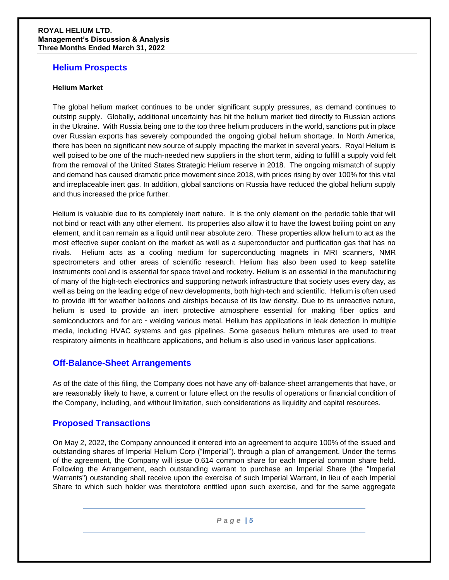### **Helium Prospects**

#### **Helium Market**

The global helium market continues to be under significant supply pressures, as demand continues to outstrip supply. Globally, additional uncertainty has hit the helium market tied directly to Russian actions in the Ukraine. With Russia being one to the top three helium producers in the world, sanctions put in place over Russian exports has severely compounded the ongoing global helium shortage. In North America, there has been no significant new source of supply impacting the market in several years. Royal Helium is well poised to be one of the much-needed new suppliers in the short term, aiding to fulfill a supply void felt from the removal of the United States Strategic Helium reserve in 2018. The ongoing mismatch of supply and demand has caused dramatic price movement since 2018, with prices rising by over 100% for this vital and irreplaceable inert gas. In addition, global sanctions on Russia have reduced the global helium supply and thus increased the price further.

Helium is valuable due to its completely inert nature. It is the only element on the periodic table that will not bind or react with any other element. Its properties also allow it to have the lowest boiling point on any element, and it can remain as a liquid until near absolute zero. These properties allow helium to act as the most effective super coolant on the market as well as a superconductor and purification gas that has no rivals. Helium acts as a cooling medium for superconducting magnets in MRI scanners, NMR spectrometers and other areas of scientific research. Helium has also been used to keep satellite instruments cool and is essential for space travel and rocketry. Helium is an essential in the manufacturing of many of the high-tech electronics and supporting network infrastructure that society uses every day, as well as being on the leading edge of new developments, both high-tech and scientific. Helium is often used to provide lift for weather balloons and airships because of its low density. Due to its unreactive nature, helium is used to provide an inert protective atmosphere essential for making fiber optics and semiconductors and for arc - welding various metal. Helium has applications in leak detection in multiple media, including HVAC systems and gas pipelines. Some gaseous helium mixtures are used to treat respiratory ailments in healthcare applications, and helium is also used in various laser applications.

## **Off-Balance-Sheet Arrangements**

As of the date of this filing, the Company does not have any off-balance-sheet arrangements that have, or are reasonably likely to have, a current or future effect on the results of operations or financial condition of the Company, including, and without limitation, such considerations as liquidity and capital resources.

## **Proposed Transactions**

On May 2, 2022, the Company announced it entered into an agreement to acquire 100% of the issued and outstanding shares of Imperial Helium Corp ("Imperial"). through a plan of arrangement. Under the terms of the agreement, the Company will issue 0.614 common share for each Imperial common share held. Following the Arrangement, each outstanding warrant to purchase an Imperial Share (the "Imperial Warrants") outstanding shall receive upon the exercise of such Imperial Warrant, in lieu of each Imperial Share to which such holder was theretofore entitled upon such exercise, and for the same aggregate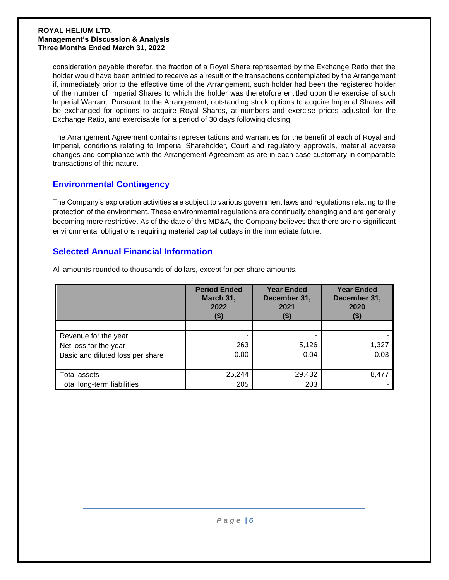consideration payable therefor, the fraction of a Royal Share represented by the Exchange Ratio that the holder would have been entitled to receive as a result of the transactions contemplated by the Arrangement if, immediately prior to the effective time of the Arrangement, such holder had been the registered holder of the number of Imperial Shares to which the holder was theretofore entitled upon the exercise of such Imperial Warrant. Pursuant to the Arrangement, outstanding stock options to acquire Imperial Shares will be exchanged for options to acquire Royal Shares, at numbers and exercise prices adjusted for the Exchange Ratio, and exercisable for a period of 30 days following closing.

The Arrangement Agreement contains representations and warranties for the benefit of each of Royal and Imperial, conditions relating to Imperial Shareholder, Court and regulatory approvals, material adverse changes and compliance with the Arrangement Agreement as are in each case customary in comparable transactions of this nature.

# **Environmental Contingency**

The Company's exploration activities are subject to various government laws and regulations relating to the protection of the environment. These environmental regulations are continually changing and are generally becoming more restrictive. As of the date of this MD&A, the Company believes that there are no significant environmental obligations requiring material capital outlays in the immediate future.

## **Selected Annual Financial Information**

|                                  | <b>Period Ended</b><br>March 31,<br>2022<br>(\$) | <b>Year Ended</b><br>December 31,<br>2021 | <b>Year Ended</b><br>December 31,<br>2020 |  |  |
|----------------------------------|--------------------------------------------------|-------------------------------------------|-------------------------------------------|--|--|
|                                  |                                                  |                                           |                                           |  |  |
| Revenue for the year             |                                                  |                                           |                                           |  |  |
| Net loss for the year            | 263                                              | 5,126                                     | 1,327                                     |  |  |
| Basic and diluted loss per share | 0.00                                             | 0.04                                      | 0.03                                      |  |  |
|                                  |                                                  |                                           |                                           |  |  |
| Total assets                     | 25,244                                           | 29,432                                    | 8,477                                     |  |  |
| Total long-term liabilities      | 205                                              | 203                                       |                                           |  |  |

All amounts rounded to thousands of dollars, except for per share amounts.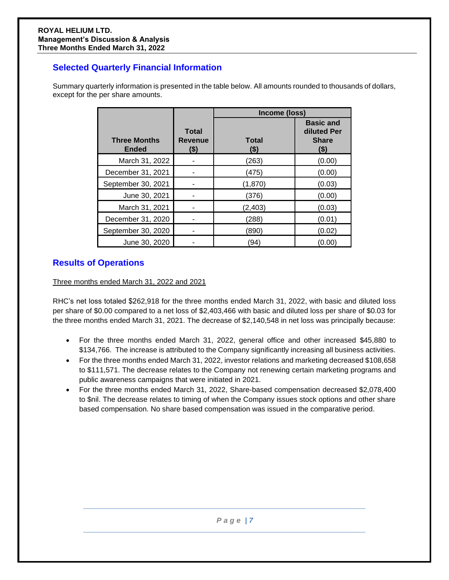# **Selected Quarterly Financial Information**

Summary quarterly information is presented in the table below. All amounts rounded to thousands of dollars, except for the per share amounts.

|                                     |                                 | Income (loss)           |                                                            |  |  |  |  |  |  |
|-------------------------------------|---------------------------------|-------------------------|------------------------------------------------------------|--|--|--|--|--|--|
| <b>Three Months</b><br><b>Ended</b> | <b>Total</b><br>Revenue<br>(\$) | <b>Total</b><br>$($ \$) | <b>Basic and</b><br>diluted Per<br><b>Share</b><br>$($ \$) |  |  |  |  |  |  |
| March 31, 2022                      |                                 | (263)                   | (0.00)                                                     |  |  |  |  |  |  |
| December 31, 2021                   |                                 | (475)                   | (0.00)                                                     |  |  |  |  |  |  |
| September 30, 2021                  |                                 | (1,870)                 | (0.03)                                                     |  |  |  |  |  |  |
| June 30, 2021                       |                                 | (376)                   | (0.00)                                                     |  |  |  |  |  |  |
| March 31, 2021                      |                                 | (2,403)                 | (0.03)                                                     |  |  |  |  |  |  |
| December 31, 2020                   |                                 | (288)                   | (0.01)                                                     |  |  |  |  |  |  |
| September 30, 2020                  |                                 | (890)                   | (0.02)                                                     |  |  |  |  |  |  |
| June 30, 2020                       |                                 | (94                     | (0.00)                                                     |  |  |  |  |  |  |

# **Results of Operations**

Three months ended March 31, 2022 and 2021

RHC's net loss totaled \$262,918 for the three months ended March 31, 2022, with basic and diluted loss per share of \$0.00 compared to a net loss of \$2,403,466 with basic and diluted loss per share of \$0.03 for the three months ended March 31, 2021. The decrease of \$2,140,548 in net loss was principally because:

- For the three months ended March 31, 2022, general office and other increased \$45,880 to \$134,766. The increase is attributed to the Company significantly increasing all business activities.
- For the three months ended March 31, 2022, investor relations and marketing decreased \$108,658 to \$111,571. The decrease relates to the Company not renewing certain marketing programs and public awareness campaigns that were initiated in 2021.
- For the three months ended March 31, 2022, Share-based compensation decreased \$2,078,400 to \$nil. The decrease relates to timing of when the Company issues stock options and other share based compensation. No share based compensation was issued in the comparative period.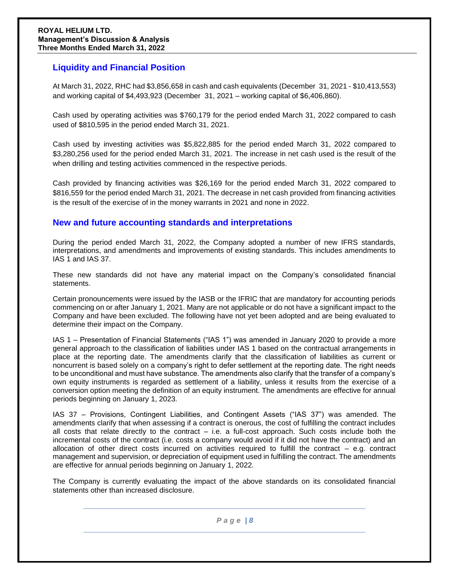## **Liquidity and Financial Position**

At March 31, 2022, RHC had \$3,856,658 in cash and cash equivalents (December 31, 2021 - \$10,413,553) and working capital of \$4,493,923 (December 31, 2021 – working capital of \$6,406,860).

Cash used by operating activities was \$760,179 for the period ended March 31, 2022 compared to cash used of \$810,595 in the period ended March 31, 2021.

Cash used by investing activities was \$5,822,885 for the period ended March 31, 2022 compared to \$3,280,256 used for the period ended March 31, 2021. The increase in net cash used is the result of the when drilling and testing activities commenced in the respective periods.

Cash provided by financing activities was \$26,169 for the period ended March 31, 2022 compared to \$816,559 for the period ended March 31, 2021. The decrease in net cash provided from financing activities is the result of the exercise of in the money warrants in 2021 and none in 2022.

## **New and future accounting standards and interpretations**

During the period ended March 31, 2022, the Company adopted a number of new IFRS standards, interpretations, and amendments and improvements of existing standards. This includes amendments to IAS 1 and IAS 37.

These new standards did not have any material impact on the Company's consolidated financial statements.

Certain pronouncements were issued by the IASB or the IFRIC that are mandatory for accounting periods commencing on or after January 1, 2021. Many are not applicable or do not have a significant impact to the Company and have been excluded. The following have not yet been adopted and are being evaluated to determine their impact on the Company.

IAS 1 – Presentation of Financial Statements ("IAS 1") was amended in January 2020 to provide a more general approach to the classification of liabilities under IAS 1 based on the contractual arrangements in place at the reporting date. The amendments clarify that the classification of liabilities as current or noncurrent is based solely on a company's right to defer settlement at the reporting date. The right needs to be unconditional and must have substance. The amendments also clarify that the transfer of a company's own equity instruments is regarded as settlement of a liability, unless it results from the exercise of a conversion option meeting the definition of an equity instrument. The amendments are effective for annual periods beginning on January 1, 2023.

IAS 37 – Provisions, Contingent Liabilities, and Contingent Assets ("IAS 37") was amended. The amendments clarify that when assessing if a contract is onerous, the cost of fulfilling the contract includes all costs that relate directly to the contract  $-$  i.e. a full-cost approach. Such costs include both the incremental costs of the contract (i.e. costs a company would avoid if it did not have the contract) and an allocation of other direct costs incurred on activities required to fulfill the contract – e.g. contract management and supervision, or depreciation of equipment used in fulfilling the contract. The amendments are effective for annual periods beginning on January 1, 2022.

The Company is currently evaluating the impact of the above standards on its consolidated financial statements other than increased disclosure.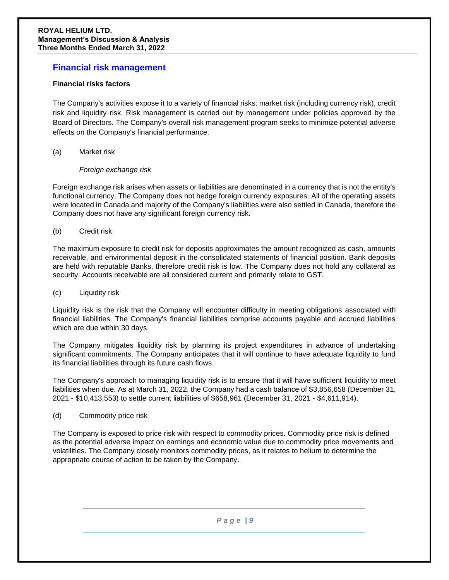### **Financial risk management**

### **Financial risks factors**

The Company's activities expose it to a variety of financial risks: market risk (including currency risk), credit risk and liquidity risk. Risk management is carried out by management under policies approved by the Board of Directors. The Company's overall risk management program seeks to minimize potential adverse effects on the Company's financial performance.

#### (a) Market risk

### *Foreign exchange risk*

Foreign exchange risk arises when assets or liabilities are denominated in a currency that is not the entity's functional currency. The Company does not hedge foreign currency exposures. All of the operating assets were located in Canada and majority of the Company's liabilities were also settled in Canada, therefore the Company does not have any significant foreign currency risk.

#### (b) Credit risk

The maximum exposure to credit risk for deposits approximates the amount recognized as cash, amounts receivable, and environmental deposit in the consolidated statements of financial position. Bank deposits are held with reputable Banks, therefore credit risk is low. The Company does not hold any collateral as security. Accounts receivable are all considered current and primarily relate to GST.

### (c) Liquidity risk

Liquidity risk is the risk that the Company will encounter difficulty in meeting obligations associated with financial liabilities. The Company's financial liabilities comprise accounts payable and accrued liabilities which are due within 30 days.

The Company mitigates liquidity risk by planning its project expenditures in advance of undertaking significant commitments. The Company anticipates that it will continue to have adequate liquidity to fund its financial liabilities through its future cash flows.

The Company's approach to managing liquidity risk is to ensure that it will have sufficient liquidity to meet liabilities when due. As at March 31, 2022, the Company had a cash balance of \$3,856,658 (December 31, 2021 - \$10,413,553) to settle current liabilities of \$658,961 (December 31, 2021 - \$4,611,914).

### (d) Commodity price risk

The Company is exposed to price risk with respect to commodity prices. Commodity price risk is defined as the potential adverse impact on earnings and economic value due to commodity price movements and volatilities. The Company closely monitors commodity prices, as it relates to helium to determine the appropriate course of action to be taken by the Company.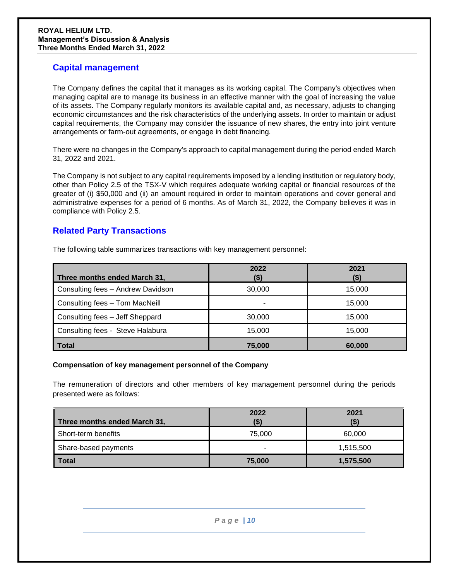## **Capital management**

The Company defines the capital that it manages as its working capital. The Company's objectives when managing capital are to manage its business in an effective manner with the goal of increasing the value of its assets. The Company regularly monitors its available capital and, as necessary, adjusts to changing economic circumstances and the risk characteristics of the underlying assets. In order to maintain or adjust capital requirements, the Company may consider the issuance of new shares, the entry into joint venture arrangements or farm-out agreements, or engage in debt financing.

There were no changes in the Company's approach to capital management during the period ended March 31, 2022 and 2021.

The Company is not subject to any capital requirements imposed by a lending institution or regulatory body, other than Policy 2.5 of the TSX-V which requires adequate working capital or financial resources of the greater of (i) \$50,000 and (ii) an amount required in order to maintain operations and cover general and administrative expenses for a period of 6 months. As of March 31, 2022, the Company believes it was in compliance with Policy 2.5.

# **Related Party Transactions**

| Three months ended March 31,      | 2022<br>(\$) | 2021<br>(\$) |
|-----------------------------------|--------------|--------------|
| Consulting fees - Andrew Davidson | 30,000       | 15,000       |
| Consulting fees - Tom MacNeill    | -            | 15.000       |
| Consulting fees - Jeff Sheppard   | 30,000       | 15.000       |
| Consulting fees - Steve Halabura  | 15,000       | 15,000       |
| <b>Total</b>                      | 75,000       | 60,000       |

The following table summarizes transactions with key management personnel:

### **Compensation of key management personnel of the Company**

The remuneration of directors and other members of key management personnel during the periods presented were as follows:

|                              | 2022   | 2021      |
|------------------------------|--------|-----------|
| Three months ended March 31, |        | (\$)      |
| Short-term benefits          | 75,000 | 60,000    |
| Share-based payments         | -      | 1,515,500 |
| <b>Total</b>                 | 75,000 | 1,575,500 |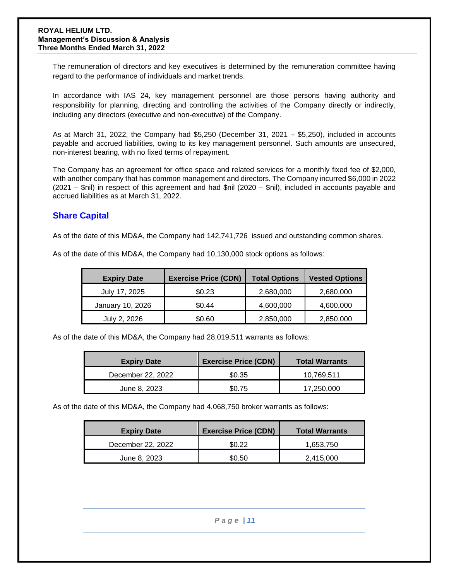The remuneration of directors and key executives is determined by the remuneration committee having regard to the performance of individuals and market trends.

In accordance with IAS 24, key management personnel are those persons having authority and responsibility for planning, directing and controlling the activities of the Company directly or indirectly, including any directors (executive and non-executive) of the Company.

As at March 31, 2022, the Company had \$5,250 (December 31, 2021 – \$5,250), included in accounts payable and accrued liabilities, owing to its key management personnel. Such amounts are unsecured, non-interest bearing, with no fixed terms of repayment.

The Company has an agreement for office space and related services for a monthly fixed fee of \$2,000, with another company that has common management and directors. The Company incurred \$6,000 in 2022 (2021 – \$nil) in respect of this agreement and had \$nil (2020 – \$nil), included in accounts payable and accrued liabilities as at March 31, 2022.

## **Share Capital**

As of the date of this MD&A, the Company had 142,741,726 issued and outstanding common shares.

| <b>Expiry Date</b> | <b>Exercise Price (CDN)</b> | <b>Total Options</b> | <b>Vested Options</b> |  |  |  |
|--------------------|-----------------------------|----------------------|-----------------------|--|--|--|
| July 17, 2025      | \$0.23                      | 2,680,000            | 2,680,000             |  |  |  |
| January 10, 2026   | \$0.44                      | 4,600,000            | 4,600,000             |  |  |  |
| July 2, 2026       | \$0.60                      | 2,850,000            | 2,850,000             |  |  |  |

As of the date of this MD&A, the Company had 10,130,000 stock options as follows:

As of the date of this MD&A, the Company had 28,019,511 warrants as follows:

| <b>Expiry Date</b> | <b>Exercise Price (CDN)</b> | <b>Total Warrants</b> |  |  |  |  |
|--------------------|-----------------------------|-----------------------|--|--|--|--|
| December 22, 2022  | \$0.35                      | 10.769.511            |  |  |  |  |
| June 8, 2023       | \$0.75                      | 17,250,000            |  |  |  |  |

As of the date of this MD&A, the Company had 4,068,750 broker warrants as follows:

| <b>Expiry Date</b> | <b>Exercise Price (CDN)</b> | <b>Total Warrants</b> |  |  |  |  |
|--------------------|-----------------------------|-----------------------|--|--|--|--|
| December 22, 2022  | \$0.22                      | 1,653,750             |  |  |  |  |
| June 8, 2023       | \$0.50                      | 2,415,000             |  |  |  |  |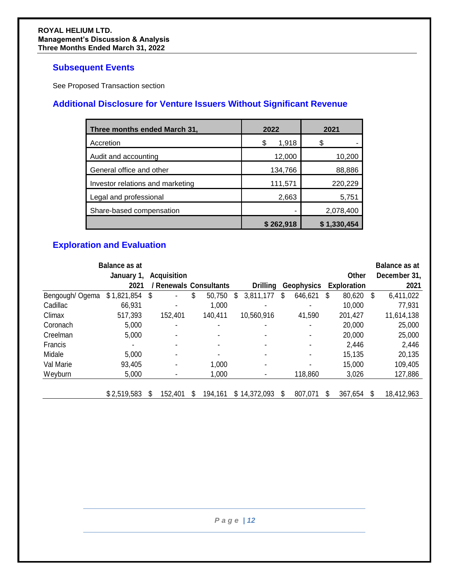# **Subsequent Events**

See Proposed Transaction section

# **Additional Disclosure for Venture Issuers Without Significant Revenue**

| Three months ended March 31,     | 2022        | 2021        |
|----------------------------------|-------------|-------------|
| Accretion                        | \$<br>1,918 | S           |
| Audit and accounting             | 12,000      | 10,200      |
| General office and other         | 134,766     | 88,886      |
| Investor relations and marketing | 111,571     | 220,229     |
| Legal and professional           | 2,663       | 5,751       |
| Share-based compensation         |             | 2,078,400   |
|                                  | \$262,918   | \$1,330,454 |

# **Exploration and Evaluation**

|                 | <b>Balance as at</b><br>January 1, | <b>Acquisition</b>           |    |         |                 |    |                   | Other              |   | <b>Balance as at</b><br>December 31, |
|-----------------|------------------------------------|------------------------------|----|---------|-----------------|----|-------------------|--------------------|---|--------------------------------------|
|                 | 2021                               | / Renewals Consultants       |    |         | <b>Drilling</b> |    | <b>Geophysics</b> | <b>Exploration</b> |   | 2021                                 |
| Bengough/ Ogema | \$1,821,854                        | \$<br>٠                      | \$ | 50,750  | \$<br>3,811,177 | \$ | 646,621           | \$<br>80,620       | S | 6,411,022                            |
| Cadillac        | 66,931                             | $\blacksquare$               |    | 1,000   |                 |    |                   | 10,000             |   | 77,931                               |
| Climax          | 517,393                            | 152,401                      |    | 140,411 | 10,560,916      |    | 41,590            | 201,427            |   | 11,614,138                           |
| Coronach        | 5,000                              |                              |    |         |                 |    |                   | 20,000             |   | 25,000                               |
| Creelman        | 5,000                              | $\qquad \qquad \blacksquare$ |    |         |                 |    |                   | 20,000             |   | 25,000                               |
| Francis         |                                    | $\blacksquare$               |    |         |                 |    |                   | 2,446              |   | 2,446                                |
| Midale          | 5,000                              | $\qquad \qquad \blacksquare$ |    |         |                 |    |                   | 15,135             |   | 20,135                               |
| Val Marie       | 93,405                             | $\blacksquare$               |    | 1,000   |                 |    |                   | 15,000             |   | 109,405                              |
| Weyburn         | 5,000                              |                              |    | 1,000   |                 |    | 118,860           | 3,026              |   | 127,886                              |
|                 | \$2,519,583                        | S<br>152,401                 | S  | 194,161 | \$14,372,093    | S  | 807,071           | \$<br>367,654      |   | 18,412,963                           |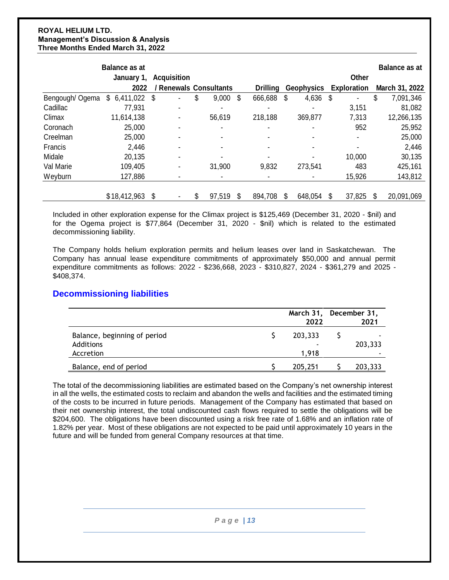|                | <b>Balance as at</b> |      |                             |                |    |                 |                          |                          | <b>Balance as at</b> |
|----------------|----------------------|------|-----------------------------|----------------|----|-----------------|--------------------------|--------------------------|----------------------|
|                | January 1,           |      | <b>Acquisition</b>          |                |    |                 |                          | Other                    |                      |
|                | 2022                 |      | <b>Renewals Consultants</b> |                |    | <b>Drilling</b> | <b>Geophysics</b>        | <b>Exploration</b>       | March 31, 2022       |
| Bengough/Ogema | \$<br>6,411,022      | - \$ | $\blacksquare$              | \$<br>9,000    | \$ | 666,688         | \$<br>4,636              | \$<br>$\blacksquare$     | \$<br>7,091,346      |
| Cadillac       | 77,931               |      |                             | $\blacksquare$ |    | $\blacksquare$  |                          | 3,151                    | 81,082               |
| Climax         | 11,614,138           |      |                             | 56,619         |    | 218,188         | 369,877                  | 7,313                    | 12,266,135           |
| Coronach       | 25,000               |      |                             |                |    |                 |                          | 952                      | 25,952               |
| Creelman       | 25,000               |      |                             | $\blacksquare$ |    | ٠               |                          | $\overline{\phantom{0}}$ | 25,000               |
| Francis        | 2,446                |      |                             | $\blacksquare$ |    | $\blacksquare$  | $\overline{\phantom{0}}$ | $\blacksquare$           | 2,446                |
| Midale         | 20,135               |      |                             |                |    |                 |                          | 10,000                   | 30,135               |
| Val Marie      | 109,405              |      |                             | 31,900         |    | 9,832           | 273,541                  | 483                      | 425,161              |
| Weyburn        | 127,886              |      |                             | $\blacksquare$ |    | $\blacksquare$  |                          | 15,926                   | 143,812              |
|                |                      |      |                             |                |    |                 |                          |                          |                      |
|                | \$18,412,963         | \$   |                             | \$<br>97,519   | S  | 894,708         | 648,054                  | \$<br>37,825             | 20,091,069           |

Included in other exploration expense for the Climax project is \$125,469 (December 31, 2020 - \$nil) and for the Ogema project is \$77,864 (December 31, 2020 - \$nil) which is related to the estimated decommissioning liability.

The Company holds helium exploration permits and helium leases over land in Saskatchewan. The Company has annual lease expenditure commitments of approximately \$50,000 and annual permit expenditure commitments as follows: 2022 - \$236,668, 2023 - \$310,827, 2024 - \$361,279 and 2025 - \$408,374.

## **Decommissioning liabilities**

|                                                        | March 31, December 31,<br>2022 | 2021                                |
|--------------------------------------------------------|--------------------------------|-------------------------------------|
| Balance, beginning of period<br>Additions<br>Accretion | 203,333<br>1.918               | 203,333<br>$\overline{\phantom{a}}$ |
| Balance, end of period                                 | 205,251                        | 203,333                             |

The total of the decommissioning liabilities are estimated based on the Company's net ownership interest in all the wells, the estimated costs to reclaim and abandon the wells and facilities and the estimated timing of the costs to be incurred in future periods. Management of the Company has estimated that based on their net ownership interest, the total undiscounted cash flows required to settle the obligations will be \$204,600. The obligations have been discounted using a risk free rate of 1.68% and an inflation rate of 1.82% per year. Most of these obligations are not expected to be paid until approximately 10 years in the future and will be funded from general Company resources at that time.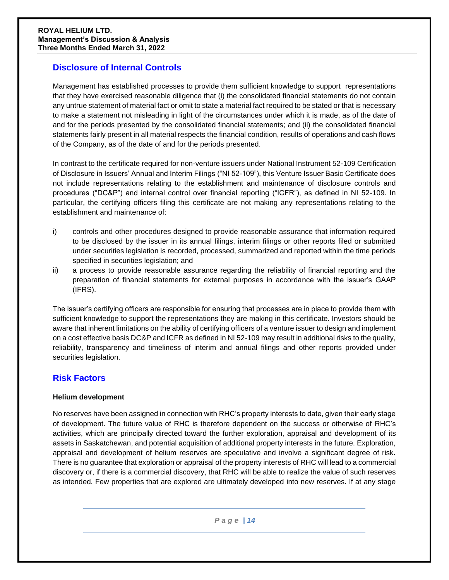# **Disclosure of Internal Controls**

Management has established processes to provide them sufficient knowledge to support representations that they have exercised reasonable diligence that (i) the consolidated financial statements do not contain any untrue statement of material fact or omit to state a material fact required to be stated or that is necessary to make a statement not misleading in light of the circumstances under which it is made, as of the date of and for the periods presented by the consolidated financial statements; and (ii) the consolidated financial statements fairly present in all material respects the financial condition, results of operations and cash flows of the Company, as of the date of and for the periods presented.

In contrast to the certificate required for non-venture issuers under National Instrument 52-109 Certification of Disclosure in Issuers' Annual and Interim Filings ("NI 52-109"), this Venture Issuer Basic Certificate does not include representations relating to the establishment and maintenance of disclosure controls and procedures ("DC&P") and internal control over financial reporting ("ICFR"), as defined in NI 52-109. In particular, the certifying officers filing this certificate are not making any representations relating to the establishment and maintenance of:

- i) controls and other procedures designed to provide reasonable assurance that information required to be disclosed by the issuer in its annual filings, interim filings or other reports filed or submitted under securities legislation is recorded, processed, summarized and reported within the time periods specified in securities legislation; and
- ii) a process to provide reasonable assurance regarding the reliability of financial reporting and the preparation of financial statements for external purposes in accordance with the issuer's GAAP (IFRS).

The issuer's certifying officers are responsible for ensuring that processes are in place to provide them with sufficient knowledge to support the representations they are making in this certificate. Investors should be aware that inherent limitations on the ability of certifying officers of a venture issuer to design and implement on a cost effective basis DC&P and ICFR as defined in NI 52-109 may result in additional risks to the quality, reliability, transparency and timeliness of interim and annual filings and other reports provided under securities legislation.

## **Risk Factors**

### **Helium development**

No reserves have been assigned in connection with RHC's property interests to date, given their early stage of development. The future value of RHC is therefore dependent on the success or otherwise of RHC's activities, which are principally directed toward the further exploration, appraisal and development of its assets in Saskatchewan, and potential acquisition of additional property interests in the future. Exploration, appraisal and development of helium reserves are speculative and involve a significant degree of risk. There is no guarantee that exploration or appraisal of the property interests of RHC will lead to a commercial discovery or, if there is a commercial discovery, that RHC will be able to realize the value of such reserves as intended. Few properties that are explored are ultimately developed into new reserves. If at any stage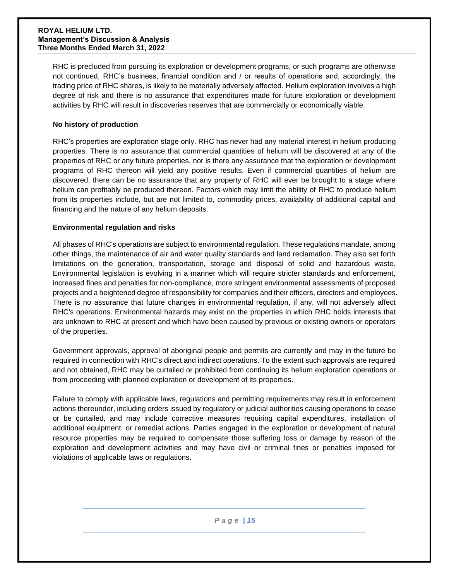RHC is precluded from pursuing its exploration or development programs, or such programs are otherwise not continued, RHC's business, financial condition and / or results of operations and, accordingly, the trading price of RHC shares, is likely to be materially adversely affected. Helium exploration involves a high degree of risk and there is no assurance that expenditures made for future exploration or development activities by RHC will result in discoveries reserves that are commercially or economically viable.

### **No history of production**

RHC's properties are exploration stage only. RHC has never had any material interest in helium producing properties. There is no assurance that commercial quantities of helium will be discovered at any of the properties of RHC or any future properties, nor is there any assurance that the exploration or development programs of RHC thereon will yield any positive results. Even if commercial quantities of helium are discovered, there can be no assurance that any property of RHC will ever be brought to a stage where helium can profitably be produced thereon. Factors which may limit the ability of RHC to produce helium from its properties include, but are not limited to, commodity prices, availability of additional capital and financing and the nature of any helium deposits.

#### **Environmental regulation and risks**

All phases of RHC's operations are subject to environmental regulation. These regulations mandate, among other things, the maintenance of air and water quality standards and land reclamation. They also set forth limitations on the generation, transportation, storage and disposal of solid and hazardous waste. Environmental legislation is evolving in a manner which will require stricter standards and enforcement, increased fines and penalties for non-compliance, more stringent environmental assessments of proposed projects and a heightened degree of responsibility for companies and their officers, directors and employees. There is no assurance that future changes in environmental regulation, if any, will not adversely affect RHC's operations. Environmental hazards may exist on the properties in which RHC holds interests that are unknown to RHC at present and which have been caused by previous or existing owners or operators of the properties.

Government approvals, approval of aboriginal people and permits are currently and may in the future be required in connection with RHC's direct and indirect operations. To the extent such approvals are required and not obtained, RHC may be curtailed or prohibited from continuing its helium exploration operations or from proceeding with planned exploration or development of its properties.

Failure to comply with applicable laws, regulations and permitting requirements may result in enforcement actions thereunder, including orders issued by regulatory or judicial authorities causing operations to cease or be curtailed, and may include corrective measures requiring capital expenditures, installation of additional equipment, or remedial actions. Parties engaged in the exploration or development of natural resource properties may be required to compensate those suffering loss or damage by reason of the exploration and development activities and may have civil or criminal fines or penalties imposed for violations of applicable laws or regulations.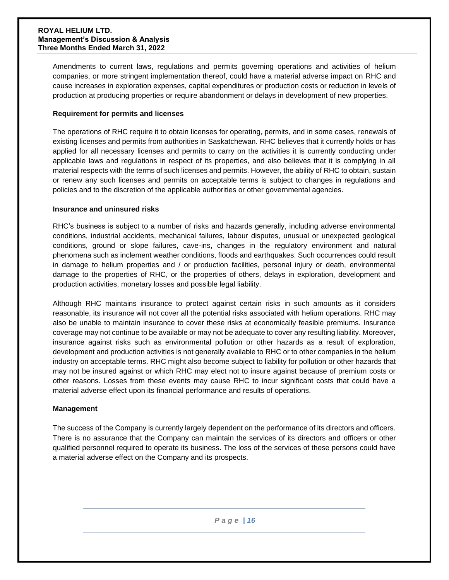Amendments to current laws, regulations and permits governing operations and activities of helium companies, or more stringent implementation thereof, could have a material adverse impact on RHC and cause increases in exploration expenses, capital expenditures or production costs or reduction in levels of production at producing properties or require abandonment or delays in development of new properties.

### **Requirement for permits and licenses**

The operations of RHC require it to obtain licenses for operating, permits, and in some cases, renewals of existing licenses and permits from authorities in Saskatchewan. RHC believes that it currently holds or has applied for all necessary licenses and permits to carry on the activities it is currently conducting under applicable laws and regulations in respect of its properties, and also believes that it is complying in all material respects with the terms of such licenses and permits. However, the ability of RHC to obtain, sustain or renew any such licenses and permits on acceptable terms is subject to changes in regulations and policies and to the discretion of the applicable authorities or other governmental agencies.

#### **Insurance and uninsured risks**

RHC's business is subject to a number of risks and hazards generally, including adverse environmental conditions, industrial accidents, mechanical failures, labour disputes, unusual or unexpected geological conditions, ground or slope failures, cave-ins, changes in the regulatory environment and natural phenomena such as inclement weather conditions, floods and earthquakes. Such occurrences could result in damage to helium properties and / or production facilities, personal injury or death, environmental damage to the properties of RHC, or the properties of others, delays in exploration, development and production activities, monetary losses and possible legal liability.

Although RHC maintains insurance to protect against certain risks in such amounts as it considers reasonable, its insurance will not cover all the potential risks associated with helium operations. RHC may also be unable to maintain insurance to cover these risks at economically feasible premiums. Insurance coverage may not continue to be available or may not be adequate to cover any resulting liability. Moreover, insurance against risks such as environmental pollution or other hazards as a result of exploration, development and production activities is not generally available to RHC or to other companies in the helium industry on acceptable terms. RHC might also become subject to liability for pollution or other hazards that may not be insured against or which RHC may elect not to insure against because of premium costs or other reasons. Losses from these events may cause RHC to incur significant costs that could have a material adverse effect upon its financial performance and results of operations.

### **Management**

The success of the Company is currently largely dependent on the performance of its directors and officers. There is no assurance that the Company can maintain the services of its directors and officers or other qualified personnel required to operate its business. The loss of the services of these persons could have a material adverse effect on the Company and its prospects.